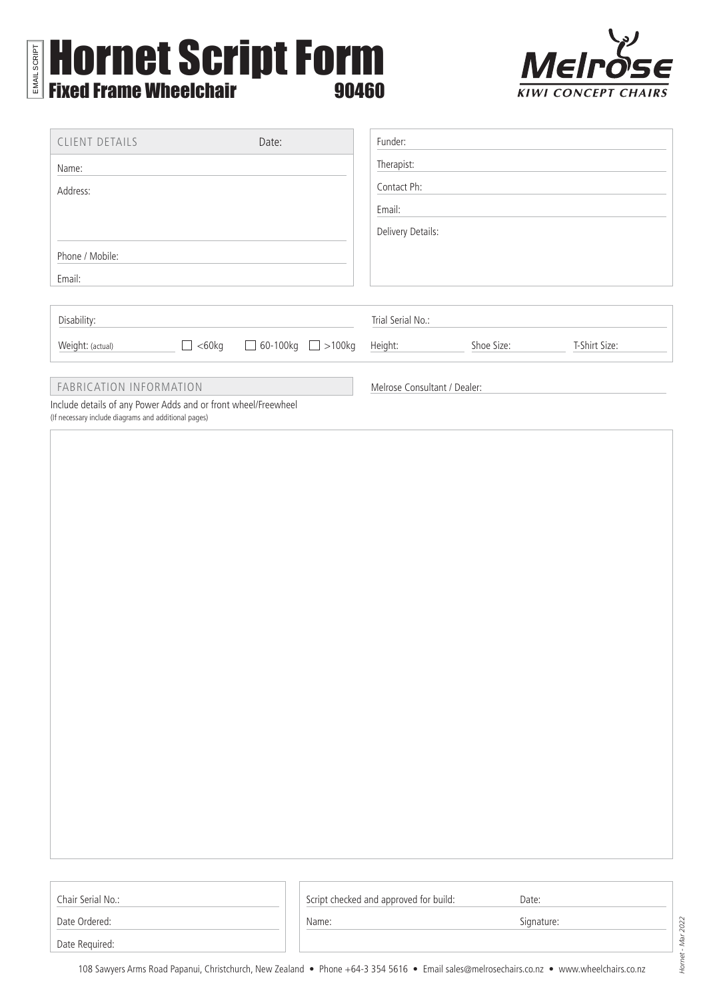## Hornet Script Form Fixed Frame Wheelchair 90460 EMAIL SCRIPT



| <b>CLIENT DETAILS</b>                                                                                                  |              | Date:                  |                              | Funder:           |            |               |  |
|------------------------------------------------------------------------------------------------------------------------|--------------|------------------------|------------------------------|-------------------|------------|---------------|--|
| Name:                                                                                                                  |              |                        |                              | Therapist:        |            |               |  |
| Address:                                                                                                               |              |                        |                              | Contact Ph:       |            |               |  |
|                                                                                                                        |              |                        |                              | Email:            |            |               |  |
|                                                                                                                        |              |                        |                              | Delivery Details: |            |               |  |
| Phone / Mobile:                                                                                                        |              |                        |                              |                   |            |               |  |
| Email:                                                                                                                 |              |                        |                              |                   |            |               |  |
|                                                                                                                        |              |                        |                              |                   |            |               |  |
| Disability:                                                                                                            |              |                        |                              | Trial Serial No.: |            |               |  |
| Weight: (actual)                                                                                                       | $\Box$ <60kg | $\Box$ 60-100kg $\Box$ | $>100$ kg                    | Height:           | Shoe Size: | T-Shirt Size: |  |
|                                                                                                                        |              |                        |                              |                   |            |               |  |
| FABRICATION INFORMATION                                                                                                |              |                        | Melrose Consultant / Dealer: |                   |            |               |  |
| Include details of any Power Adds and or front wheel/Freewheel<br>(If necessary include diagrams and additional pages) |              |                        |                              |                   |            |               |  |

Script checked and approved for build: Date:

Date Ordered:

Date Required:

Name: Signature: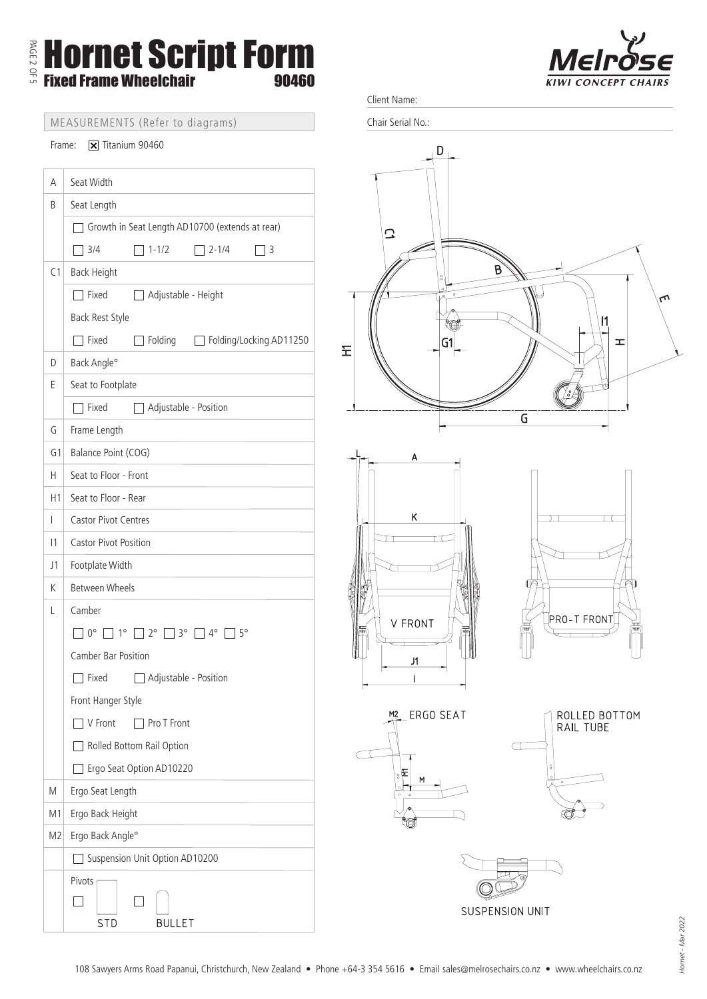Hornet Script Form Fixed Frame Wheelchair 90460



MEASUREMENTS (Refer to diagrams)

Frame:  $\boxed{\mathbf{x}}$  Titanium 90460

PAGE 2 OF 5

| Α              | Seat Width                                                                                                                                       |  |  |
|----------------|--------------------------------------------------------------------------------------------------------------------------------------------------|--|--|
| B              | Seat Length                                                                                                                                      |  |  |
|                | Growth in Seat Length AD10700 (extends at rear)                                                                                                  |  |  |
|                | 3/4<br>$1 - 1/2$<br>$2 - 1/4$<br>3                                                                                                               |  |  |
| C1             | Back Height                                                                                                                                      |  |  |
|                | $\Box$ Fixed<br>Adjustable - Height                                                                                                              |  |  |
|                | Back Rest Style                                                                                                                                  |  |  |
|                | Fixed<br>Folding<br>Folding/Locking AD11250                                                                                                      |  |  |
| D              | Back Angle°                                                                                                                                      |  |  |
| Е              | Seat to Footplate                                                                                                                                |  |  |
|                | 1 Fixed<br>Adjustable - Position                                                                                                                 |  |  |
| G              | Frame Length                                                                                                                                     |  |  |
| G1             | Balance Point (COG)                                                                                                                              |  |  |
| Н              | Seat to Floor - Front                                                                                                                            |  |  |
| H1             | Seat to Floor - Rear                                                                                                                             |  |  |
| T              | <b>Castor Pivot Centres</b>                                                                                                                      |  |  |
| $\vert$ 1      | <b>Castor Pivot Position</b>                                                                                                                     |  |  |
| J1             | Footplate Width                                                                                                                                  |  |  |
| Κ              | <b>Between Wheels</b>                                                                                                                            |  |  |
| L              | Camber                                                                                                                                           |  |  |
|                | $\begin{bmatrix} 0^{\circ} \ \end{bmatrix}$ 1° $\begin{bmatrix} 2^{\circ} \ \end{bmatrix}$ 3° $\begin{bmatrix} 4^{\circ} \ \end{bmatrix}$<br>15° |  |  |
|                | Camber Bar Position                                                                                                                              |  |  |
|                | □ Fixed<br>Adjustable - Position                                                                                                                 |  |  |
|                | Front Hanger Style                                                                                                                               |  |  |
|                | V Front<br>Pro T Front                                                                                                                           |  |  |
|                | Rolled Bottom Rail Option                                                                                                                        |  |  |
|                | Ergo Seat Option AD10220                                                                                                                         |  |  |
| М              | Ergo Seat Length                                                                                                                                 |  |  |
| M <sub>1</sub> | Ergo Back Height                                                                                                                                 |  |  |
| M <sub>2</sub> | Ergo Back Angle°                                                                                                                                 |  |  |
|                | Suspension Unit Option AD10200                                                                                                                   |  |  |
|                | Pivots<br><b>STD</b><br><b>BULLET</b>                                                                                                            |  |  |

Client Name:

Chair Serial No.:



SUSPENSION UNIT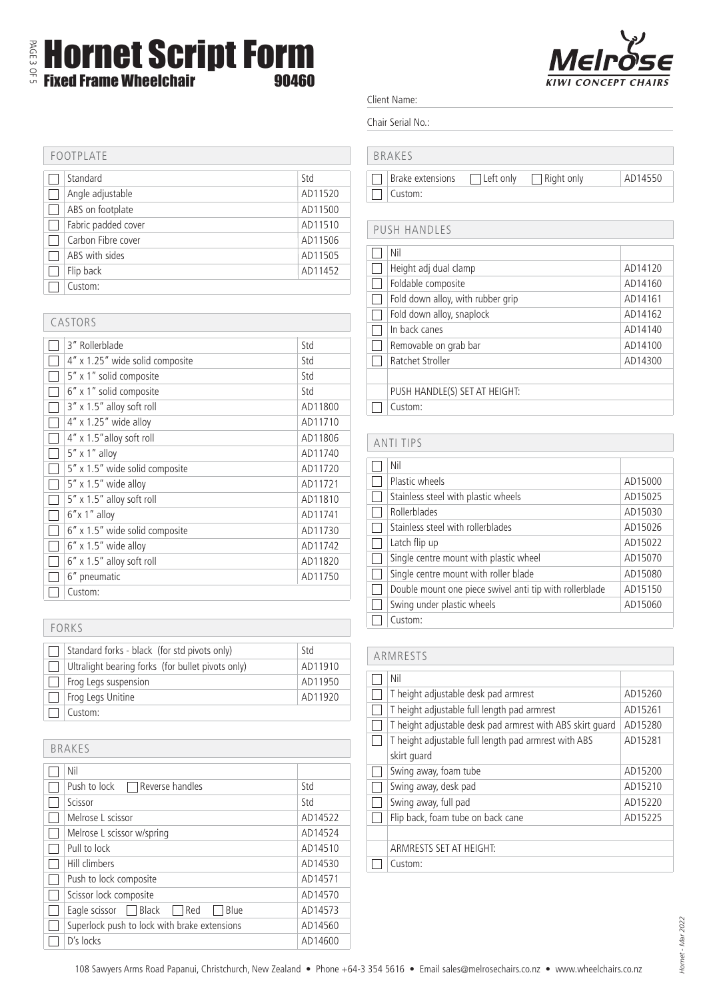### PAGE 3 OF 5 Hornet Script Form Fixed Frame Wheelchair 90460



Client Name:

Chair Serial No.:

| BRAKES |
|--------|
|--------|

| □ Brake extensions □ Left only □ Right only |  | AD14550 |
|---------------------------------------------|--|---------|
| $\Box$ Custom:                              |  |         |

### PUSH HANDLES

| Nil                               |         |
|-----------------------------------|---------|
| Height adj dual clamp             | AD14120 |
| Foldable composite                | AD14160 |
| Fold down alloy, with rubber grip | AD14161 |
| Fold down alloy, snaplock         | AD14162 |
| In back canes                     | AD14140 |
| Removable on grab bar             | AD14100 |
| Ratchet Stroller                  | AD14300 |
|                                   |         |
| PUSH HANDLE(S) SET AT HEIGHT:     |         |
| Custom:                           |         |
|                                   |         |

| <b>ANTI TIPS</b> |                                                         |         |  |
|------------------|---------------------------------------------------------|---------|--|
|                  | Nil                                                     |         |  |
|                  | Plastic wheels                                          | AD15000 |  |
|                  | Stainless steel with plastic wheels                     | AD15025 |  |
|                  | <b>Rollerblades</b>                                     | AD15030 |  |
|                  | Stainless steel with rollerblades                       | AD15026 |  |
|                  | Latch flip up                                           | AD15022 |  |
|                  | Single centre mount with plastic wheel                  | AD15070 |  |
|                  | Single centre mount with roller blade                   | AD15080 |  |
|                  | Double mount one piece swivel anti tip with rollerblade | AD15150 |  |
|                  | Swing under plastic wheels                              | AD15060 |  |
|                  | Custom:                                                 |         |  |

| Nil                                                       |         |
|-----------------------------------------------------------|---------|
| T height adjustable desk pad armrest                      | AD15260 |
| T height adjustable full length pad armrest               | AD15261 |
| T height adjustable desk pad armrest with ABS skirt quard | AD15280 |
| T height adjustable full length pad armrest with ABS      | AD15281 |
| skirt guard                                               |         |
| Swing away, foam tube                                     | AD15200 |
| Swing away, desk pad                                      | AD15210 |
| Swing away, full pad                                      | AD15220 |
| Flip back, foam tube on back cane                         | AD15225 |
|                                                           |         |
| ARMRESTS SET AT HEIGHT:                                   |         |
| Custom:                                                   |         |

| FOOTPLATE |                     |         |
|-----------|---------------------|---------|
|           |                     |         |
|           | Standard            | Std     |
|           | Angle adjustable    | AD11520 |
|           | ABS on footplate    | AD11500 |
|           | Fabric padded cover | AD11510 |
|           | Carbon Fibre cover  | AD11506 |
|           | ABS with sides      | AD11505 |
|           | Flip back           | AD11452 |
|           | Custom:             |         |

| CASTORS |                                 |         |  |
|---------|---------------------------------|---------|--|
|         | 3" Rollerblade                  | Std     |  |
|         | 4" x 1.25" wide solid composite | Std     |  |
|         | 5" x 1" solid composite         | Std     |  |
|         | 6" x 1" solid composite         | Std     |  |
|         | 3" x 1.5" alloy soft roll       | AD11800 |  |
|         | 4" x 1.25" wide alloy           | AD11710 |  |
|         | 4" x 1.5" alloy soft roll       | AD11806 |  |
|         | $5'' \times 1''$ alloy          | AD11740 |  |
|         | 5" x 1.5" wide solid composite  | AD11720 |  |
|         | 5" x 1.5" wide alloy            | AD11721 |  |
|         | 5" x 1.5" alloy soft roll       | AD11810 |  |
|         | 6"x 1" alloy                    | AD11741 |  |
|         | 6" x 1.5" wide solid composite  | AD11730 |  |
|         | $6''$ x 1.5" wide alloy         | AD11742 |  |
|         | $6''$ x 1.5" alloy soft roll    | AD11820 |  |
|         | 6" pneumatic                    | AD11750 |  |
|         | Custom:                         |         |  |

| FORKS |                                                   |         |  |  |
|-------|---------------------------------------------------|---------|--|--|
|       | Standard forks - black (for std pivots only)      | Std     |  |  |
|       | Ultralight bearing forks (for bullet pivots only) | AD11910 |  |  |
|       | Frog Legs suspension                              | AD11950 |  |  |
|       | Frog Legs Unitine                                 | AD11920 |  |  |
|       | Custom:                                           |         |  |  |

| <b>BRAKES</b>                                |         |
|----------------------------------------------|---------|
| Nil                                          |         |
| Push to lock<br>TReverse handles             | Std     |
| Scissor                                      | Std     |
| Melrose L scissor                            | AD14522 |
| Melrose L scissor w/spring                   | AD14524 |
| Pull to lock                                 | AD14510 |
| Hill climbers                                | AD14530 |
| Push to lock composite                       | AD14571 |
| Scissor lock composite                       | AD14570 |
| Eagle scissor<br>  Black<br>Red<br>Blue      | AD14573 |
| Superlock push to lock with brake extensions | AD14560 |
| D's locks                                    | AD14600 |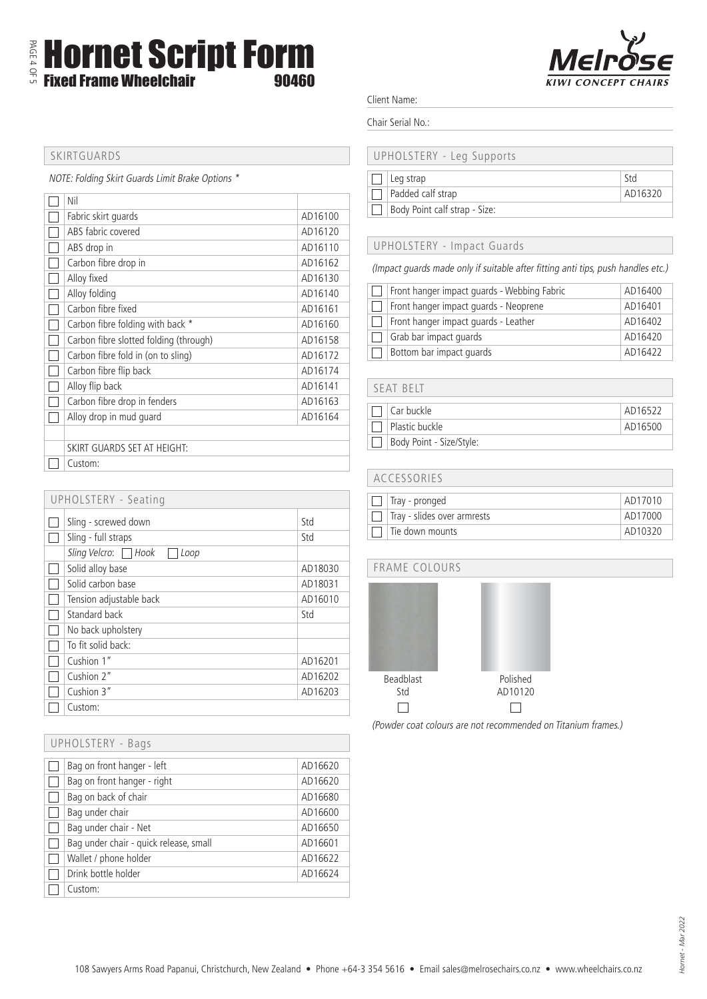Hornet Script Form Fixed Frame Wheelchair 90460



Client Name:

Chair Serial No.:

| UPHOLSTERY - Leg Supports |  |
|---------------------------|--|
|---------------------------|--|

| Leg strap                     |         |
|-------------------------------|---------|
| Padded calf strap             | AD16320 |
| Body Point calf strap - Size: |         |

### UPHOLSTERY - Impact Guards

(Impact guards made only if suitable after fitting anti tips, push handles etc.)

| $\mathbf{L}$ | Front hanger impact quards - Webbing Fabric | AD16400 |
|--------------|---------------------------------------------|---------|
|              | Front hanger impact guards - Neoprene       | AD16401 |
| $\mathbb{R}$ | Front hanger impact guards - Leather        | AD16402 |
|              | Grab bar impact quards                      | AD16420 |
|              | Bottom bar impact quards                    | AD16422 |

## SEAT BELT

| Car buckle               | AD16522 |
|--------------------------|---------|
| Plastic buckle           | AD16500 |
| Body Point - Size/Style: |         |

| ACCESSORIES                 |         |  |
|-----------------------------|---------|--|
|                             |         |  |
| Tray - pronged              | AD17010 |  |
| Tray - slides over armrests | AD17000 |  |
| Tie down mounts             | AD10320 |  |



(Powder coat colours are not recommended on Titanium frames.)

### SKIRTGUARDS

PAGE 4 OF 5

NOTE: Folding Skirt Guards Limit Brake Options \*

| Nil                                    |         |
|----------------------------------------|---------|
| Fabric skirt guards                    | AD16100 |
| ABS fabric covered                     | AD16120 |
| ABS drop in                            | AD16110 |
| Carbon fibre drop in                   | AD16162 |
| Alloy fixed                            | AD16130 |
| Alloy folding                          | AD16140 |
| Carbon fibre fixed                     | AD16161 |
| Carbon fibre folding with back *       | AD16160 |
| Carbon fibre slotted folding (through) | AD16158 |
| Carbon fibre fold in (on to sling)     | AD16172 |
| Carbon fibre flip back                 | AD16174 |
| Alloy flip back                        | AD16141 |
| Carbon fibre drop in fenders           | AD16163 |
| Alloy drop in mud quard                | AD16164 |
|                                        |         |
| SKIRT GUARDS SET AT HEIGHT:            |         |
| Custom:                                |         |

| <b>UPHOLSTERY - Seating</b> |                            |         |
|-----------------------------|----------------------------|---------|
|                             | Sling - screwed down       | Std     |
|                             | Sling - full straps        | Std     |
|                             | Sling Velcro: Hook<br>Loop |         |
|                             | Solid alloy base           | AD18030 |
|                             | Solid carbon base          | AD18031 |
|                             | Tension adjustable back    | AD16010 |
|                             | Standard back              | Std     |
|                             | No back upholstery         |         |
|                             | To fit solid back:         |         |
|                             | Cushion 1"                 | AD16201 |
|                             | Cushion 2"                 | AD16202 |
|                             | Cushion 3"                 | AD16203 |
|                             | Custom:                    |         |

| UPHOLSTERY - Bags                      |         |
|----------------------------------------|---------|
| Bag on front hanger - left             | AD16620 |
| Bag on front hanger - right            | AD16620 |
| Bag on back of chair                   | AD16680 |
| Bag under chair                        | AD16600 |
| Bag under chair - Net                  | AD16650 |
| Bag under chair - quick release, small | AD16601 |
| Wallet / phone holder                  | AD16622 |
| Drink bottle holder                    | AD16624 |
| Custom:                                |         |